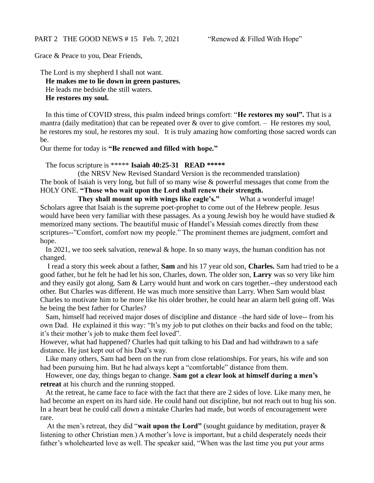Grace & Peace to you, Dear Friends,

The Lord is my shepherd I shall not want. **He makes me to lie down in green pastures.** He leads me bedside the still waters. **He restores my soul.**

In this time of COVID stress, this psalm indeed brings comfort: "**He restores my soul".** That is a mantra (daily meditation) that can be repeated over  $\&$  over to give comfort. – He restores my soul, he restores my soul, he restores my soul. It is truly amazing how comforting those sacred words can be.

Our theme for today is **"Be renewed and filled with hope."**

The focus scripture is \*\*\*\*\* **Isaiah 40:25-31 READ \*\*\*\*\***

(the NRSV New Revised Standard Version is the recommended translation) The book of Isaiah is very long, but full of so many wise & powerful messages that come from the HOLY ONE. **"Those who wait upon the Lord shall renew their strength.**

**They shall mount up with wings like eagle's."** What a wonderful image! Scholars agree that Isaiah is the supreme poet-prophet to come out of the Hebrew people. Jesus would have been very familiar with these passages. As a young Jewish boy he would have studied  $\&$ memorized many sections. The beautiful music of Handel's Messiah comes directly from these scriptures--"Comfort, comfort now my people." The prominent themes are judgment, comfort and hope.

In 2021, we too seek salvation, renewal & hope. In so many ways, the human condition has not changed.

I read a story this week about a father, **Sam** and his 17 year old son, **Charles.** Sam had tried to be a good father, but he felt he had let his son, Charles, down. The older son, **Larry** was so very like him and they easily got along. Sam & Larry would hunt and work on cars together.--they understood each other. But Charles was different. He was much more sensitive than Larry. When Sam would blast Charles to motivate him to be more like his older brother, he could hear an alarm bell going off. Was he being the best father for Charles?

Sam, himself had received major doses of discipline and distance –the hard side of love-- from his own Dad. He explained it this way: "It's my job to put clothes on their backs and food on the table; it's their mother's job to make them feel loved".

However, what had happened? Charles had quit talking to his Dad and had withdrawn to a safe distance. He just kept out of his Dad's way.

Like many others, Sam had been on the run from close relationships. For years, his wife and son had been pursuing him. But he had always kept a "comfortable" distance from them.

However, one day, things began to change. **Sam got a clear look at himself during a men's retreat** at his church and the running stopped.

At the retreat, he came face to face with the fact that there are 2 sides of love. Like many men, he had become an expert on its hard side. He could hand out discipline, but not reach out to hug his son. In a heart beat he could call down a mistake Charles had made, but words of encouragement were rare.

At the men's retreat, they did "**wait upon the Lord"** (sought guidance by meditation, prayer & listening to other Christian men.) A mother's love is important, but a child desperately needs their father's wholehearted love as well. The speaker said, "When was the last time you put your arms